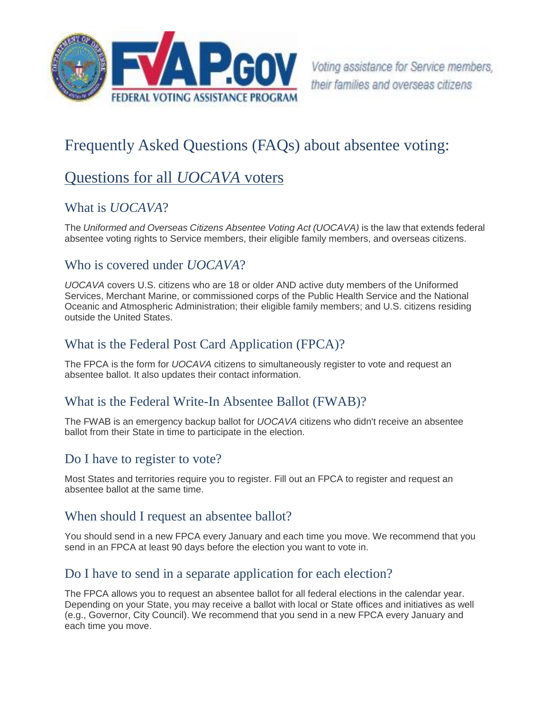

# Frequently Asked Questions (FAQs) about absentee voting:

# Questions for all *UOCAVA* voters

## What is *UOCAVA*?

The *Uniformed and Overseas Citizens Absentee Voting Act (UOCAVA)* is the law that extends federal absentee voting rights to Service members, their eligible family members, and overseas citizens.

#### Who is covered under *UOCAVA*?

*UOCAVA* covers U.S. citizens who are 18 or older AND active duty members of the Uniformed Services, Merchant Marine, or commissioned corps of the Public Health Service and the National Oceanic and Atmospheric Administration; their eligible family members; and U.S. citizens residing outside the United States.

## What is the Federal Post Card Application (FPCA)?

The FPCA is the form for *UOCAVA* citizens to simultaneously register to vote and request an absentee ballot. It also updates their contact information.

## What is the Federal Write-In Absentee Ballot (FWAB)?

The FWAB is an emergency backup ballot for *UOCAVA* citizens who didn't receive an absentee ballot from their State in time to participate in the election.

## Do I have to register to vote?

Most States and territories require you to register. Fill out an FPCA to register and request an absentee ballot at the same time.

#### When should I request an absentee ballot?

You should send in a new FPCA every January and each time you move. We recommend that you send in an FPCA at least 90 days before the election you want to vote in.

## Do I have to send in a separate application for each election?

The FPCA allows you to request an absentee ballot for all federal elections in the calendar year. Depending on your State, you may receive a ballot with local or State offices and initiatives as well (e.g., Governor, City Council). We recommend that you send in a new FPCA every January and each time you move.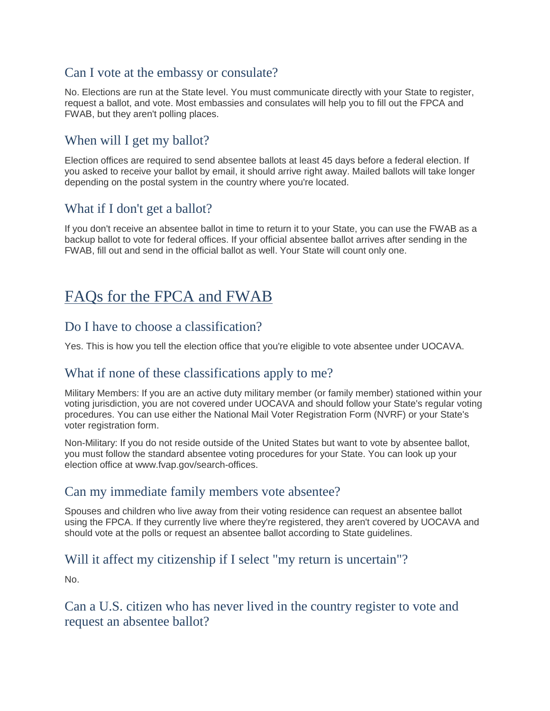## Can I vote at the embassy or consulate?

No. Elections are run at the State level. You must communicate directly with your State to register, request a ballot, and vote. Most embassies and consulates will help you to fill out the FPCA and FWAB, but they aren't polling places.

## When will I get my ballot?

Election offices are required to send absentee ballots at least 45 days before a federal election. If you asked to receive your ballot by email, it should arrive right away. Mailed ballots will take longer depending on the postal system in the country where you're located.

## What if I don't get a ballot?

If you don't receive an absentee ballot in time to return it to your State, you can use the FWAB as a backup ballot to vote for federal offices. If your official absentee ballot arrives after sending in the FWAB, fill out and send in the official ballot as well. Your State will count only one.

# FAQs for the FPCA and FWAB

#### Do I have to choose a classification?

Yes. This is how you tell the election office that you're eligible to vote absentee under UOCAVA.

#### What if none of these classifications apply to me?

Military Members: If you are an active duty military member (or family member) stationed within your voting jurisdiction, you are not covered under UOCAVA and should follow your State's regular voting procedures. You can use either the National Mail Voter Registration Form (NVRF) or your State's voter registration form.

Non-Military: If you do not reside outside of the United States but want to vote by absentee ballot, you must follow the standard absentee voting procedures for your State. You can look up your election office at www.fvap.gov/search-offices.

#### Can my immediate family members vote absentee?

Spouses and children who live away from their voting residence can request an absentee ballot using the FPCA. If they currently live where they're registered, they aren't covered by UOCAVA and should vote at the polls or request an absentee ballot according to State guidelines.

## Will it affect my citizenship if I select "my return is uncertain"?

No.

#### Can a U.S. citizen who has never lived in the country register to vote and request an absentee ballot?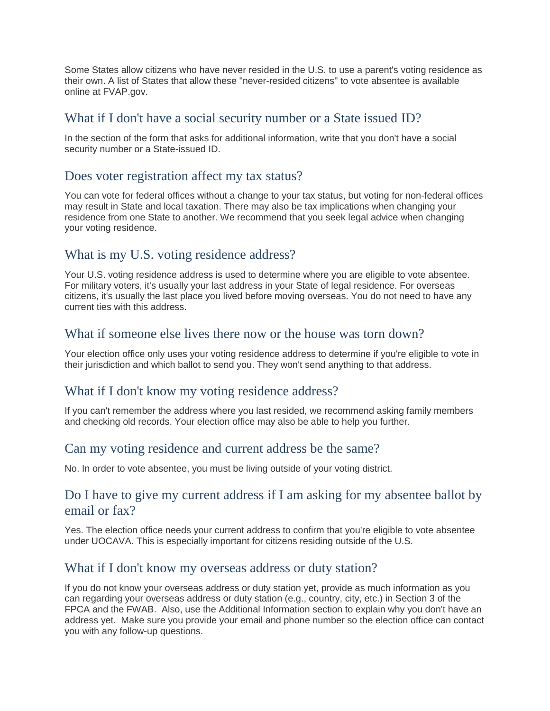Some States allow citizens who have never resided in the U.S. to use a parent's voting residence as their own. A list of States that allow these "never-resided citizens" to vote absentee is available online at FVAP.gov.

#### What if I don't have a social security number or a State issued ID?

In the section of the form that asks for additional information, write that you don't have a social security number or a State-issued ID.

#### Does voter registration affect my tax status?

You can vote for federal offices without a change to your tax status, but voting for non-federal offices may result in State and local taxation. There may also be tax implications when changing your residence from one State to another. We recommend that you seek legal advice when changing your voting residence.

## What is my U.S. voting residence address?

Your U.S. voting residence address is used to determine where you are eligible to vote absentee. For military voters, it's usually your last address in your State of legal residence. For overseas citizens, it's usually the last place you lived before moving overseas. You do not need to have any current ties with this address.

#### What if someone else lives there now or the house was torn down?

Your election office only uses your voting residence address to determine if you're eligible to vote in their jurisdiction and which ballot to send you. They won't send anything to that address.

#### What if I don't know my voting residence address?

If you can't remember the address where you last resided, we recommend asking family members and checking old records. Your election office may also be able to help you further.

#### Can my voting residence and current address be the same?

No. In order to vote absentee, you must be living outside of your voting district.

#### Do I have to give my current address if I am asking for my absentee ballot by email or fax?

Yes. The election office needs your current address to confirm that you're eligible to vote absentee under UOCAVA. This is especially important for citizens residing outside of the U.S.

#### What if I don't know my overseas address or duty station?

If you do not know your overseas address or duty station yet, provide as much information as you can regarding your overseas address or duty station (e.g., country, city, etc.) in Section 3 of the FPCA and the FWAB. Also, use the Additional Information section to explain why you don't have an address yet. Make sure you provide your email and phone number so the election office can contact you with any follow-up questions.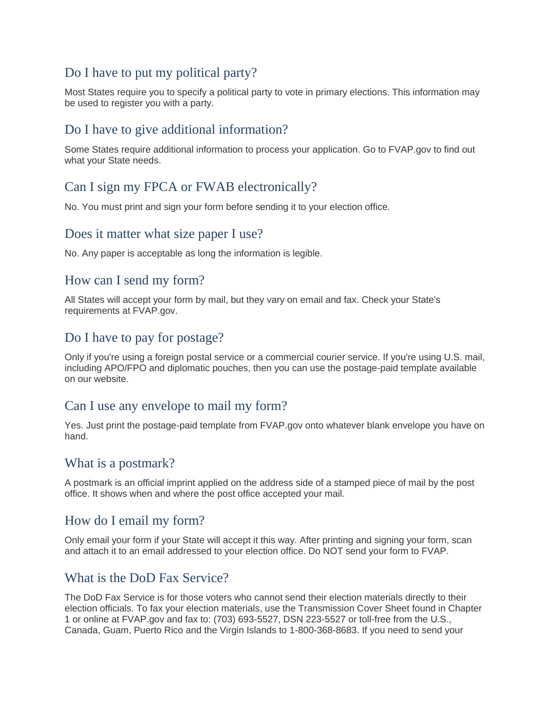## Do I have to put my political party?

Most States require you to specify a political party to vote in primary elections. This information may be used to register you with a party.

## Do I have to give additional information?

Some States require additional information to process your application. Go to FVAP.gov to find out what your State needs.

## Can I sign my FPCA or FWAB electronically?

No. You must print and sign your form before sending it to your election office.

#### Does it matter what size paper I use?

No. Any paper is acceptable as long the information is legible.

#### How can I send my form?

All States will accept your form by mail, but they vary on email and fax. Check your State's requirements at FVAP.gov.

#### Do I have to pay for postage?

Only if you're using a foreign postal service or a commercial courier service. If you're using U.S. mail, including APO/FPO and diplomatic pouches, then you can use the postage-paid template available on our website.

#### Can I use any envelope to mail my form?

Yes. Just print the postage-paid template from FVAP.gov onto whatever blank envelope you have on hand.

#### What is a postmark?

A postmark is an official imprint applied on the address side of a stamped piece of mail by the post office. It shows when and where the post office accepted your mail.

## How do I email my form?

Only email your form if your State will accept it this way. After printing and signing your form, scan and attach it to an email addressed to your election office. Do NOT send your form to FVAP.

## What is the DoD Fax Service?

The DoD Fax Service is for those voters who cannot send their election materials directly to their election officials. To fax your election materials, use the Transmission Cover Sheet found in Chapter 1 or online at FVAP.gov and fax to: (703) 693-5527, DSN 223-5527 or toll-free from the U.S., Canada, Guam, Puerto Rico and the Virgin Islands to 1-800-368-8683. If you need to send your